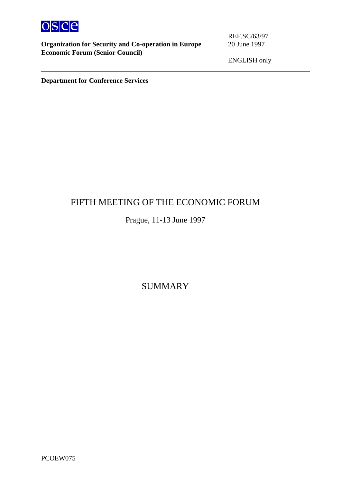

**Organization for Security and Co-operation in Europe** 20 June 1997 **Economic Forum (Senior Council)**

ENGLISH only

**Department for Conference Services**

# FIFTH MEETING OF THE ECONOMIC FORUM

# Prague, 11-13 June 1997

SUMMARY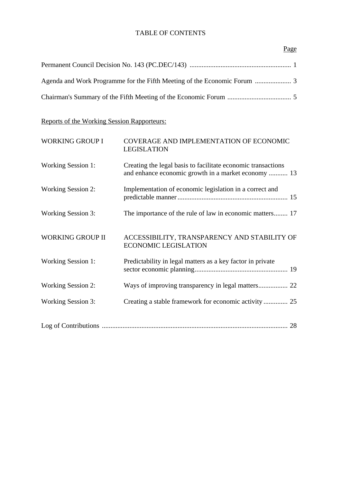## TABLE OF CONTENTS

## Page

Reports of the Working Session Rapporteurs:

| <b>WORKING GROUP I</b>    | COVERAGE AND IMPLEMENTATION OF ECONOMIC<br><b>LEGISLATION</b>                                                       |
|---------------------------|---------------------------------------------------------------------------------------------------------------------|
| <b>Working Session 1:</b> | Creating the legal basis to facilitate economic transactions<br>and enhance economic growth in a market economy  13 |
| <b>Working Session 2:</b> | Implementation of economic legislation in a correct and                                                             |
| <b>Working Session 3:</b> | The importance of the rule of law in economic matters 17                                                            |
| <b>WORKING GROUP II</b>   | ACCESSIBILITY, TRANSPARENCY AND STABILITY OF<br><b>ECONOMIC LEGISLATION</b>                                         |
| <b>Working Session 1:</b> | Predictability in legal matters as a key factor in private                                                          |
| <b>Working Session 2:</b> |                                                                                                                     |
| <b>Working Session 3:</b> | Creating a stable framework for economic activity  25                                                               |
|                           |                                                                                                                     |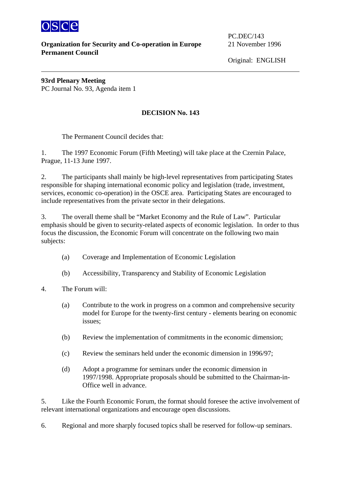

**Organization for Security and Co-operation in Europe** 21 November 1996 **Permanent Council**

PC.DEC/143

Original: ENGLISH

**93rd Plenary Meeting**  PC Journal No. 93, Agenda item 1

## **DECISION No. 143**

The Permanent Council decides that:

1. The 1997 Economic Forum (Fifth Meeting) will take place at the Czernin Palace, Prague, 11-13 June 1997.

2. The participants shall mainly be high-level representatives from participating States responsible for shaping international economic policy and legislation (trade, investment, services, economic co-operation) in the OSCE area. Participating States are encouraged to include representatives from the private sector in their delegations.

3. The overall theme shall be "Market Economy and the Rule of Law". Particular emphasis should be given to security-related aspects of economic legislation. In order to thus focus the discussion, the Economic Forum will concentrate on the following two main subjects:

- (a) Coverage and Implementation of Economic Legislation
- (b) Accessibility, Transparency and Stability of Economic Legislation
- 4. The Forum will:
	- (a) Contribute to the work in progress on a common and comprehensive security model for Europe for the twenty-first century - elements bearing on economic issues;
	- (b) Review the implementation of commitments in the economic dimension;
	- (c) Review the seminars held under the economic dimension in 1996/97;
	- (d) Adopt a programme for seminars under the economic dimension in 1997/1998. Appropriate proposals should be submitted to the Chairman-in-Office well in advance.

5. Like the Fourth Economic Forum, the format should foresee the active involvement of relevant international organizations and encourage open discussions.

6. Regional and more sharply focused topics shall be reserved for follow-up seminars.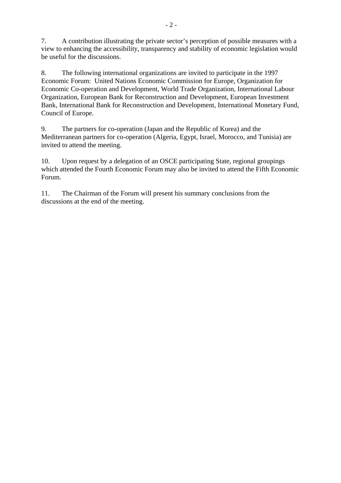7. A contribution illustrating the private sector's perception of possible measures with a view to enhancing the accessibility, transparency and stability of economic legislation would be useful for the discussions.

8. The following international organizations are invited to participate in the 1997 Economic Forum: United Nations Economic Commission for Europe, Organization for Economic Co-operation and Development, World Trade Organization, International Labour Organization, European Bank for Reconstruction and Development, European Investment Bank, International Bank for Reconstruction and Development, International Monetary Fund, Council of Europe.

9. The partners for co-operation (Japan and the Republic of Korea) and the Mediterranean partners for co-operation (Algeria, Egypt, Israel, Morocco, and Tunisia) are invited to attend the meeting.

10. Upon request by a delegation of an OSCE participating State, regional groupings which attended the Fourth Economic Forum may also be invited to attend the Fifth Economic Forum.

11. The Chairman of the Forum will present his summary conclusions from the discussions at the end of the meeting.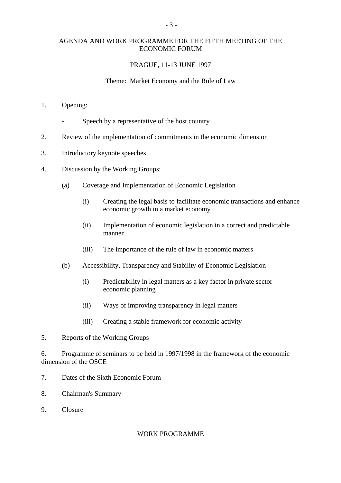## AGENDA AND WORK PROGRAMME FOR THE FIFTH MEETING OF THE ECONOMIC FORUM

## PRAGUE, 11-13 JUNE 1997

## Theme: Market Economy and the Rule of Law

- 1. Opening:
	- Speech by a representative of the host country
- 2. Review of the implementation of commitments in the economic dimension
- 3. Introductory keynote speeches
- 4. Discussion by the Working Groups:
	- (a) Coverage and Implementation of Economic Legislation
		- (i) Creating the legal basis to facilitate economic transactions and enhance economic growth in a market economy
		- (ii) Implementation of economic legislation in a correct and predictable manner
		- (iii) The importance of the rule of law in economic matters
	- (b) Accessibility, Transparency and Stability of Economic Legislation
		- (i) Predictability in legal matters as a key factor in private sector economic planning
		- (ii) Ways of improving transparency in legal matters
		- (iii) Creating a stable framework for economic activity
- 5. Reports of the Working Groups

6. Programme of seminars to be held in 1997/1998 in the framework of the economic dimension of the OSCE

- 7. Dates of the Sixth Economic Forum
- 8. Chairman's Summary
- 9. Closure

#### WORK PROGRAMME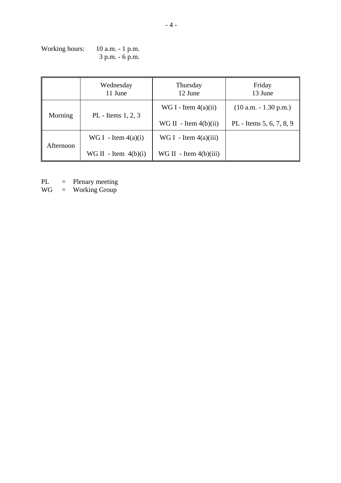| Working hours: | $10$ a.m. $-1$ p.m. |
|----------------|---------------------|
|                | $3 p.m. - 6 p.m.$   |

|           | Wednesday<br>11 June   | Thursday<br>12 June      | Friday<br>13 June        |
|-----------|------------------------|--------------------------|--------------------------|
| Morning   | PL - Items $1, 2, 3$   | WG I - Item $4(a)(ii)$   | $(10 a.m. - 1.30 p.m.)$  |
|           |                        | WG II - Item $4(b)(ii)$  | PL - Items 5, 6, 7, 8, 9 |
|           | WG I - Item $4(a)(i)$  | WG I - Item $4(a)(iii)$  |                          |
| Afternoon | WG II - Item $4(b)(i)$ | WG II - Item $4(b)(iii)$ |                          |

PL = Plenary meeting

WG = Working Group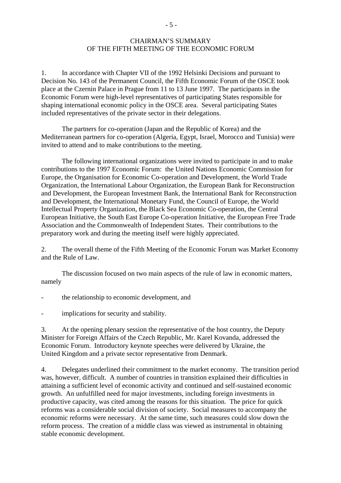## CHAIRMAN'S SUMMARY OF THE FIFTH MEETING OF THE ECONOMIC FORUM

1. In accordance with Chapter VII of the 1992 Helsinki Decisions and pursuant to Decision No. 143 of the Permanent Council, the Fifth Economic Forum of the OSCE took place at the Czernin Palace in Prague from 11 to 13 June 1997. The participants in the Economic Forum were high-level representatives of participating States responsible for shaping international economic policy in the OSCE area. Several participating States included representatives of the private sector in their delegations.

The partners for co-operation (Japan and the Republic of Korea) and the Mediterranean partners for co-operation (Algeria, Egypt, Israel, Morocco and Tunisia) were invited to attend and to make contributions to the meeting.

The following international organizations were invited to participate in and to make contributions to the 1997 Economic Forum: the United Nations Economic Commission for Europe, the Organisation for Economic Co-operation and Development, the World Trade Organization, the International Labour Organization, the European Bank for Reconstruction and Development, the European Investment Bank, the International Bank for Reconstruction and Development, the International Monetary Fund, the Council of Europe, the World Intellectual Property Organization, the Black Sea Economic Co-operation, the Central European Initiative, the South East Europe Co-operation Initiative, the European Free Trade Association and the Commonwealth of Independent States. Their contributions to the preparatory work and during the meeting itself were highly appreciated.

2. The overall theme of the Fifth Meeting of the Economic Forum was Market Economy and the Rule of Law.

 The discussion focused on two main aspects of the rule of law in economic matters, namely

- the relationship to economic development, and
- implications for security and stability.

3. At the opening plenary session the representative of the host country, the Deputy Minister for Foreign Affairs of the Czech Republic, Mr. Karel Kovanda, addressed the Economic Forum. Introductory keynote speeches were delivered by Ukraine, the United Kingdom and a private sector representative from Denmark.

4. Delegates underlined their commitment to the market economy. The transition period was, however, difficult. A number of countries in transition explained their difficulties in attaining a sufficient level of economic activity and continued and self-sustained economic growth. An unfulfilled need for major investments, including foreign investments in productive capacity, was cited among the reasons for this situation. The price for quick reforms was a considerable social division of society. Social measures to accompany the economic reforms were necessary. At the same time, such measures could slow down the reform process. The creation of a middle class was viewed as instrumental in obtaining stable economic development.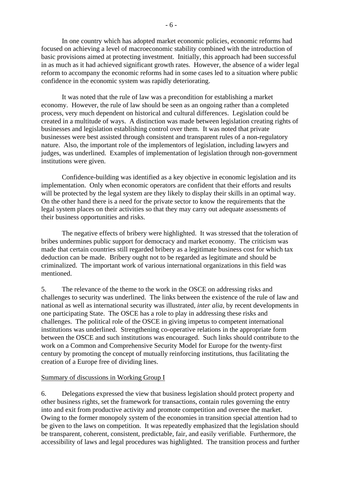In one country which has adopted market economic policies, economic reforms had focused on achieving a level of macroeconomic stability combined with the introduction of basic provisions aimed at protecting investment. Initially, this approach had been successful in as much as it had achieved significant growth rates. However, the absence of a wider legal reform to accompany the economic reforms had in some cases led to a situation where public confidence in the economic system was rapidly deteriorating.

 It was noted that the rule of law was a precondition for establishing a market economy. However, the rule of law should be seen as an ongoing rather than a completed process, very much dependent on historical and cultural differences. Legislation could be created in a multitude of ways. A distinction was made between legislation creating rights of businesses and legislation establishing control over them. It was noted that private businesses were best assisted through consistent and transparent rules of a non-regulatory nature. Also, the important role of the implementors of legislation, including lawyers and judges, was underlined. Examples of implementation of legislation through non-government institutions were given.

 Confidence-building was identified as a key objective in economic legislation and its implementation. Only when economic operators are confident that their efforts and results will be protected by the legal system are they likely to display their skills in an optimal way. On the other hand there is a need for the private sector to know the requirements that the legal system places on their activities so that they may carry out adequate assessments of their business opportunities and risks.

 The negative effects of bribery were highlighted. It was stressed that the toleration of bribes undermines public support for democracy and market economy. The criticism was made that certain countries still regarded bribery as a legitimate business cost for which tax deduction can be made. Bribery ought not to be regarded as legitimate and should be criminalized. The important work of various international organizations in this field was mentioned.

5. The relevance of the theme to the work in the OSCE on addressing risks and challenges to security was underlined. The links between the existence of the rule of law and national as well as international security was illustrated, *inter alia*, by recent developments in one participating State. The OSCE has a role to play in addressing these risks and challenges. The political role of the OSCE in giving impetus to competent international institutions was underlined. Strengthening co-operative relations in the appropriate form between the OSCE and such institutions was encouraged. Such links should contribute to the work on a Common and Comprehensive Security Model for Europe for the twenty-first century by promoting the concept of mutually reinforcing institutions, thus facilitating the creation of a Europe free of dividing lines.

#### Summary of discussions in Working Group I

6. Delegations expressed the view that business legislation should protect property and other business rights, set the framework for transactions, contain rules governing the entry into and exit from productive activity and promote competition and oversee the market. Owing to the former monopoly system of the economies in transition special attention had to be given to the laws on competition. It was repeatedly emphasized that the legislation should be transparent, coherent, consistent, predictable, fair, and easily verifiable. Furthermore, the accessibility of laws and legal procedures was highlighted. The transition process and further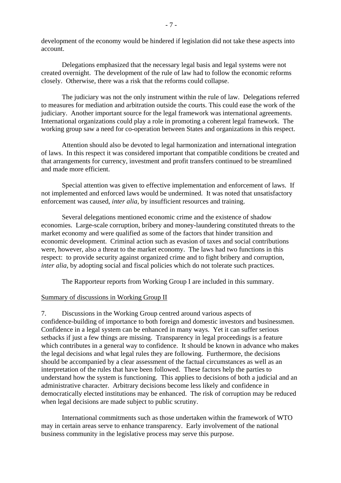development of the economy would be hindered if legislation did not take these aspects into account.

 Delegations emphasized that the necessary legal basis and legal systems were not created overnight. The development of the rule of law had to follow the economic reforms closely. Otherwise, there was a risk that the reforms could collapse.

 The judiciary was not the only instrument within the rule of law. Delegations referred to measures for mediation and arbitration outside the courts. This could ease the work of the judiciary. Another important source for the legal framework was international agreements. International organizations could play a role in promoting a coherent legal framework. The working group saw a need for co-operation between States and organizations in this respect.

 Attention should also be devoted to legal harmonization and international integration of laws. In this respect it was considered important that compatible conditions be created and that arrangements for currency, investment and profit transfers continued to be streamlined and made more efficient.

 Special attention was given to effective implementation and enforcement of laws. If not implemented and enforced laws would be undermined. It was noted that unsatisfactory enforcement was caused, *inter alia*, by insufficient resources and training.

 Several delegations mentioned economic crime and the existence of shadow economies. Large-scale corruption, bribery and money-laundering constituted threats to the market economy and were qualified as some of the factors that hinder transition and economic development. Criminal action such as evasion of taxes and social contributions were, however, also a threat to the market economy. The laws had two functions in this respect: to provide security against organized crime and to fight bribery and corruption, *inter alia*, by adopting social and fiscal policies which do not tolerate such practices.

The Rapporteur reports from Working Group I are included in this summary.

## Summary of discussions in Working Group II

7. Discussions in the Working Group centred around various aspects of confidence-building of importance to both foreign and domestic investors and businessmen. Confidence in a legal system can be enhanced in many ways. Yet it can suffer serious setbacks if just a few things are missing. Transparency in legal proceedings is a feature which contributes in a general way to confidence. It should be known in advance who makes the legal decisions and what legal rules they are following. Furthermore, the decisions should be accompanied by a clear assessment of the factual circumstances as well as an interpretation of the rules that have been followed. These factors help the parties to understand how the system is functioning. This applies to decisions of both a judicial and an administrative character. Arbitrary decisions become less likely and confidence in democratically elected institutions may be enhanced. The risk of corruption may be reduced when legal decisions are made subject to public scrutiny.

 International commitments such as those undertaken within the framework of WTO may in certain areas serve to enhance transparency. Early involvement of the national business community in the legislative process may serve this purpose.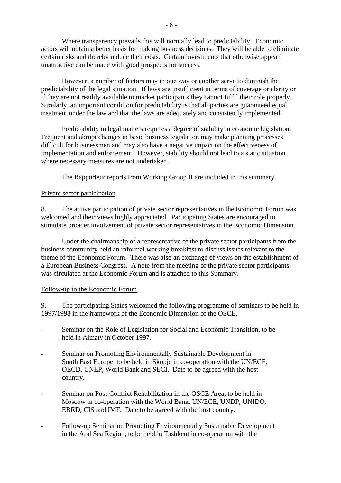Where transparency prevails this will normally lead to predictability. Economic actors will obtain a better basis for making business decisions. They will be able to eliminate certain risks and thereby reduce their costs. Certain investments that otherwise appear unattractive can be made with good prospects for success.

 However, a number of factors may in one way or another serve to diminish the predictability of the legal situation. If laws are insufficient in terms of coverage or clarity or if they are not readily available to market participants they cannot fulfil their role properly. Similarly, an important condition for predictability is that all parties are guaranteed equal treatment under the law and that the laws are adequately and consistently implemented.

 Predictability in legal matters requires a degree of stability in economic legislation. Frequent and abrupt changes in basic business legislation may make planning processes difficult for businessmen and may also have a negative impact on the effectiveness of implementation and enforcement. However, stability should not lead to a static situation where necessary measures are not undertaken.

The Rapporteur reports from Working Group II are included in this summary.

## Private sector participation

8. The active participation of private sector representatives in the Economic Forum was welcomed and their views highly appreciated. Participating States are encouraged to stimulate broader involvement of private sector representatives in the Economic Dimension.

 Under the chairmanship of a representative of the private sector participants from the business community held an informal working breakfast to discuss issues relevant to the theme of the Economic Forum. There was also an exchange of views on the establishment of a European Business Congress. A note from the meeting of the private sector participants was circulated at the Economic Forum and is attached to this Summary.

## Follow-up to the Economic Forum

9. The participating States welcomed the following programme of seminars to be held in 1997/1998 in the framework of the Economic Dimension of the OSCE.

- Seminar on the Role of Legislation for Social and Economic Transition, to be held in Almaty in October 1997.
- Seminar on Promoting Environmentally Sustainable Development in South East Europe, to be held in Skopje in co-operation with the UN/ECE, OECD, UNEP, World Bank and SECI. Date to be agreed with the host country.
- Seminar on Post-Conflict Rehabilitation in the OSCE Area, to be held in Moscow in co-operation with the World Bank, UN/ECE, UNDP, UNIDO, EBRD, CIS and IMF. Date to be agreed with the host country.
- Follow-up Seminar on Promoting Environmentally Sustainable Development in the Aral Sea Region, to be held in Tashkent in co-operation with the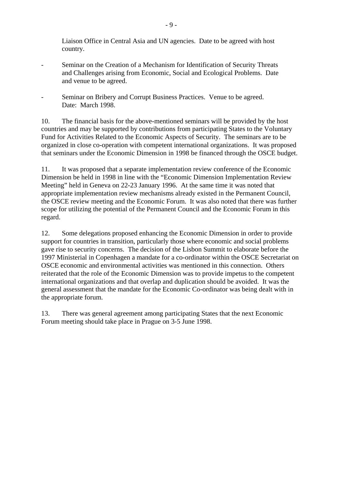Liaison Office in Central Asia and UN agencies. Date to be agreed with host country.

- Seminar on the Creation of a Mechanism for Identification of Security Threats and Challenges arising from Economic, Social and Ecological Problems. Date and venue to be agreed.
- Seminar on Bribery and Corrupt Business Practices. Venue to be agreed. Date: March 1998.

10. The financial basis for the above-mentioned seminars will be provided by the host countries and may be supported by contributions from participating States to the Voluntary Fund for Activities Related to the Economic Aspects of Security. The seminars are to be organized in close co-operation with competent international organizations. It was proposed that seminars under the Economic Dimension in 1998 be financed through the OSCE budget.

11. It was proposed that a separate implementation review conference of the Economic Dimension be held in 1998 in line with the "Economic Dimension Implementation Review Meeting" held in Geneva on 22-23 January 1996. At the same time it was noted that appropriate implementation review mechanisms already existed in the Permanent Council, the OSCE review meeting and the Economic Forum. It was also noted that there was further scope for utilizing the potential of the Permanent Council and the Economic Forum in this regard.

12. Some delegations proposed enhancing the Economic Dimension in order to provide support for countries in transition, particularly those where economic and social problems gave rise to security concerns. The decision of the Lisbon Summit to elaborate before the 1997 Ministerial in Copenhagen a mandate for a co-ordinator within the OSCE Secretariat on OSCE economic and environmental activities was mentioned in this connection. Others reiterated that the role of the Economic Dimension was to provide impetus to the competent international organizations and that overlap and duplication should be avoided. It was the general assessment that the mandate for the Economic Co-ordinator was being dealt with in the appropriate forum.

13. There was general agreement among participating States that the next Economic Forum meeting should take place in Prague on 3-5 June 1998.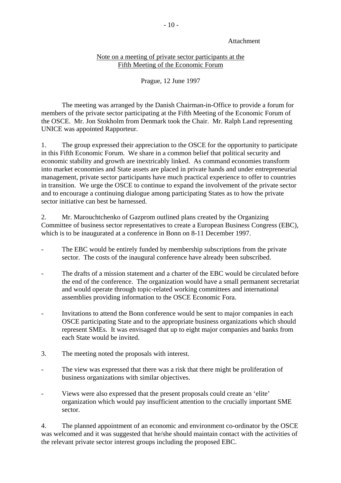## Attachment

## Note on a meeting of private sector participants at the Fifth Meeting of the Economic Forum

## Prague, 12 June 1997

 The meeting was arranged by the Danish Chairman-in-Office to provide a forum for members of the private sector participating at the Fifth Meeting of the Economic Forum of the OSCE. Mr. Jon Stokholm from Denmark took the Chair. Mr. Ralph Land representing UNICE was appointed Rapporteur.

1. The group expressed their appreciation to the OSCE for the opportunity to participate in this Fifth Economic Forum. We share in a common belief that political security and economic stability and growth are inextricably linked. As command economies transform into market economies and State assets are placed in private hands and under entrepreneurial management, private sector participants have much practical experience to offer to countries in transition. We urge the OSCE to continue to expand the involvement of the private sector and to encourage a continuing dialogue among participating States as to how the private sector initiative can best be harnessed.

2. Mr. Marouchtchenko of Gazprom outlined plans created by the Organizing Committee of business sector representatives to create a European Business Congress (EBC), which is to be inaugurated at a conference in Bonn on 8-11 December 1997.

- The EBC would be entirely funded by membership subscriptions from the private sector. The costs of the inaugural conference have already been subscribed.
- The drafts of a mission statement and a charter of the EBC would be circulated before the end of the conference. The organization would have a small permanent secretariat and would operate through topic-related working committees and international assemblies providing information to the OSCE Economic Fora.
- Invitations to attend the Bonn conference would be sent to major companies in each OSCE participating State and to the appropriate business organizations which should represent SMEs. It was envisaged that up to eight major companies and banks from each State would be invited.
- 3. The meeting noted the proposals with interest.
- The view was expressed that there was a risk that there might be proliferation of business organizations with similar objectives.
- Views were also expressed that the present proposals could create an 'elite' organization which would pay insufficient attention to the crucially important SME sector.

4. The planned appointment of an economic and environment co-ordinator by the OSCE was welcomed and it was suggested that he/she should maintain contact with the activities of the relevant private sector interest groups including the proposed EBC.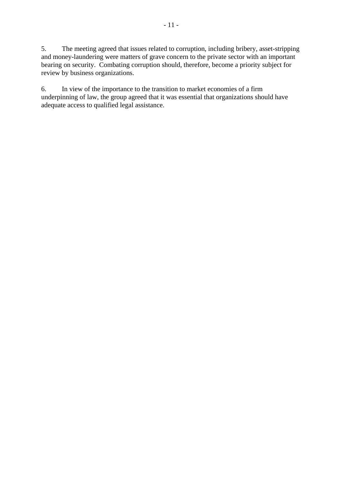5. The meeting agreed that issues related to corruption, including bribery, asset-stripping and money-laundering were matters of grave concern to the private sector with an important bearing on security. Combating corruption should, therefore, become a priority subject for review by business organizations.

6. In view of the importance to the transition to market economies of a firm underpinning of law, the group agreed that it was essential that organizations should have adequate access to qualified legal assistance.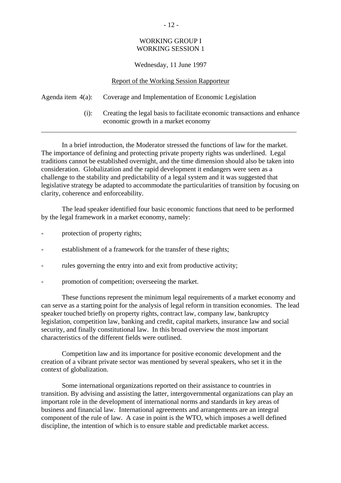## WORKING GROUP I WORKING SESSION 1

#### Wednesday, 11 June 1997

|      | Report of the Working Session Rapporteur                                                                        |
|------|-----------------------------------------------------------------------------------------------------------------|
|      | Agenda item 4(a): Coverage and Implementation of Economic Legislation                                           |
| (i): | Creating the legal basis to facilitate economic transactions and enhance<br>economic growth in a market economy |

 In a brief introduction, the Moderator stressed the functions of law for the market. The importance of defining and protecting private property rights was underlined. Legal traditions cannot be established overnight, and the time dimension should also be taken into consideration. Globalization and the rapid development it endangers were seen as a challenge to the stability and predictability of a legal system and it was suggested that legislative strategy be adapted to accommodate the particularities of transition by focusing on clarity, coherence and enforceability.

 The lead speaker identified four basic economic functions that need to be performed by the legal framework in a market economy, namely:

- protection of property rights;
- establishment of a framework for the transfer of these rights;
- rules governing the entry into and exit from productive activity;
- promotion of competition; overseeing the market.

 These functions represent the minimum legal requirements of a market economy and can serve as a starting point for the analysis of legal reform in transition economies. The lead speaker touched briefly on property rights, contract law, company law, bankruptcy legislation, competition law, banking and credit, capital markets, insurance law and social security, and finally constitutional law. In this broad overview the most important characteristics of the different fields were outlined.

 Competition law and its importance for positive economic development and the creation of a vibrant private sector was mentioned by several speakers, who set it in the context of globalization.

 Some international organizations reported on their assistance to countries in transition. By advising and assisting the latter, intergovernmental organizations can play an important role in the development of international norms and standards in key areas of business and financial law. International agreements and arrangements are an integral component of the rule of law. A case in point is the WTO, which imposes a well defined discipline, the intention of which is to ensure stable and predictable market access.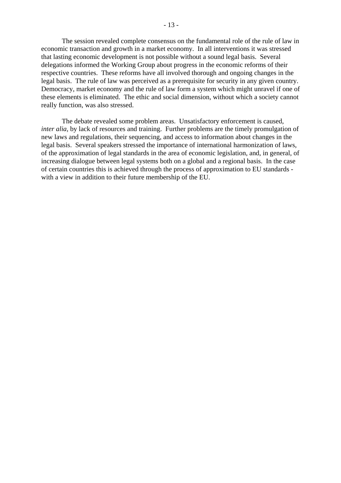The session revealed complete consensus on the fundamental role of the rule of law in economic transaction and growth in a market economy. In all interventions it was stressed that lasting economic development is not possible without a sound legal basis. Several delegations informed the Working Group about progress in the economic reforms of their respective countries. These reforms have all involved thorough and ongoing changes in the legal basis. The rule of law was perceived as a prerequisite for security in any given country. Democracy, market economy and the rule of law form a system which might unravel if one of these elements is eliminated. The ethic and social dimension, without which a society cannot really function, was also stressed.

 The debate revealed some problem areas. Unsatisfactory enforcement is caused, *inter alia*, by lack of resources and training. Further problems are the timely promulgation of new laws and regulations, their sequencing, and access to information about changes in the legal basis. Several speakers stressed the importance of international harmonization of laws, of the approximation of legal standards in the area of economic legislation, and, in general, of increasing dialogue between legal systems both on a global and a regional basis. In the case of certain countries this is achieved through the process of approximation to EU standards with a view in addition to their future membership of the EU.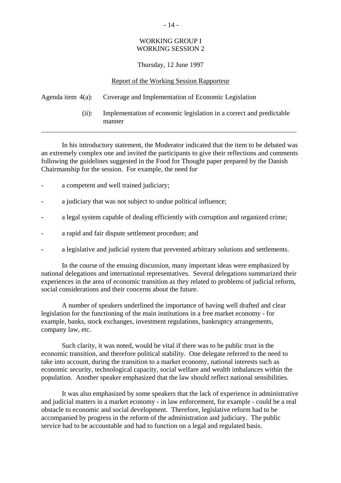## WORKING GROUP I WORKING SESSION 2

## Thursday, 12 June 1997

#### Report of the Working Session Rapporteur

## Agenda item 4(a): Coverage and Implementation of Economic Legislation

 (ii): Implementation of economic legislation in a correct and predictable manner

 In his introductory statement, the Moderator indicated that the item to be debated was an extremely complex one and invited the participants to give their reflections and comments following the guidelines suggested in the Food for Thought paper prepared by the Danish Chairmanship for the session. For example, the need for

- a competent and well trained judiciary;
- a judiciary that was not subject to undue political influence;
- a legal system capable of dealing efficiently with corruption and organized crime;
- a rapid and fair dispute settlement procedure; and
- a legislative and judicial system that prevented arbitrary solutions and settlements.

 In the course of the ensuing discussion, many important ideas were emphasized by national delegations and international representatives. Several delegations summarized their experiences in the area of economic transition as they related to problems of judicial reform, social considerations and their concerns about the future.

 A number of speakers underlined the importance of having well drafted and clear legislation for the functioning of the main institutions in a free market economy - for example, banks, stock exchanges, investment regulations, bankruptcy arrangements, company law, etc.

 Such clarity, it was noted, would be vital if there was to be public trust in the economic transition, and therefore political stability. One delegate referred to the need to take into account, during the transition to a market economy, national interests such as economic security, technological capacity, social welfare and wealth imbalances within the population. Another speaker emphasized that the law should reflect national sensibilities.

 It was also emphasized by some speakers that the lack of experience in administrative and judicial matters in a market economy - in law enforcement, for example - could be a real obstacle to economic and social development. Therefore, legislative reform had to be accompanied by progress in the reform of the administration and judiciary. The public service had to be accountable and had to function on a legal and regulated basis.

#### - 14 -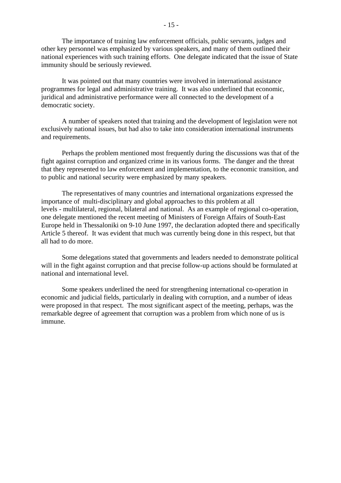The importance of training law enforcement officials, public servants, judges and other key personnel was emphasized by various speakers, and many of them outlined their national experiences with such training efforts. One delegate indicated that the issue of State immunity should be seriously reviewed.

 It was pointed out that many countries were involved in international assistance programmes for legal and administrative training. It was also underlined that economic, juridical and administrative performance were all connected to the development of a democratic society.

 A number of speakers noted that training and the development of legislation were not exclusively national issues, but had also to take into consideration international instruments and requirements.

 Perhaps the problem mentioned most frequently during the discussions was that of the fight against corruption and organized crime in its various forms. The danger and the threat that they represented to law enforcement and implementation, to the economic transition, and to public and national security were emphasized by many speakers.

 The representatives of many countries and international organizations expressed the importance of multi-disciplinary and global approaches to this problem at all levels - multilateral, regional, bilateral and national. As an example of regional co-operation, one delegate mentioned the recent meeting of Ministers of Foreign Affairs of South-East Europe held in Thessaloniki on 9-10 June 1997, the declaration adopted there and specifically Article 5 thereof. It was evident that much was currently being done in this respect, but that all had to do more.

 Some delegations stated that governments and leaders needed to demonstrate political will in the fight against corruption and that precise follow-up actions should be formulated at national and international level.

 Some speakers underlined the need for strengthening international co-operation in economic and judicial fields, particularly in dealing with corruption, and a number of ideas were proposed in that respect. The most significant aspect of the meeting, perhaps, was the remarkable degree of agreement that corruption was a problem from which none of us is immune.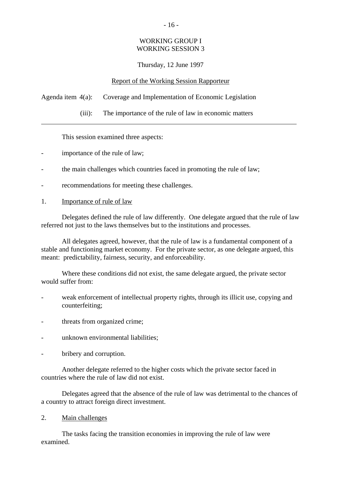## WORKING GROUP I WORKING SESSION 3

## Thursday, 12 June 1997

## Report of the Working Session Rapporteur

Agenda item 4(a): Coverage and Implementation of Economic Legislation

(iii): The importance of the rule of law in economic matters

This session examined three aspects:

- importance of the rule of law;
- the main challenges which countries faced in promoting the rule of law;
- recommendations for meeting these challenges.
- 1. Importance of rule of law

 Delegates defined the rule of law differently. One delegate argued that the rule of law referred not just to the laws themselves but to the institutions and processes.

 All delegates agreed, however, that the rule of law is a fundamental component of a stable and functioning market economy. For the private sector, as one delegate argued, this meant: predictability, fairness, security, and enforceability.

 Where these conditions did not exist, the same delegate argued, the private sector would suffer from:

- weak enforcement of intellectual property rights, through its illicit use, copying and counterfeiting;
- threats from organized crime;
- unknown environmental liabilities:
- bribery and corruption.

 Another delegate referred to the higher costs which the private sector faced in countries where the rule of law did not exist.

 Delegates agreed that the absence of the rule of law was detrimental to the chances of a country to attract foreign direct investment.

2. Main challenges

 The tasks facing the transition economies in improving the rule of law were examined.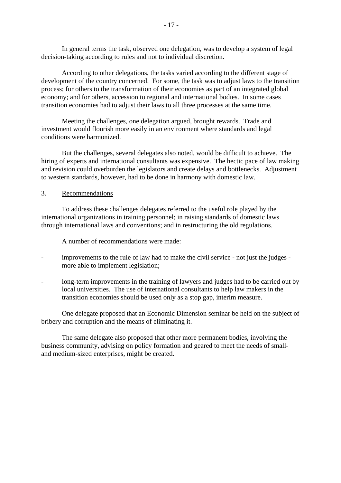In general terms the task, observed one delegation, was to develop a system of legal decision-taking according to rules and not to individual discretion.

 According to other delegations, the tasks varied according to the different stage of development of the country concerned. For some, the task was to adjust laws to the transition process; for others to the transformation of their economies as part of an integrated global economy; and for others, accession to regional and international bodies. In some cases transition economies had to adjust their laws to all three processes at the same time.

 Meeting the challenges, one delegation argued, brought rewards. Trade and investment would flourish more easily in an environment where standards and legal conditions were harmonized.

 But the challenges, several delegates also noted, would be difficult to achieve. The hiring of experts and international consultants was expensive. The hectic pace of law making and revision could overburden the legislators and create delays and bottlenecks. Adjustment to western standards, however, had to be done in harmony with domestic law.

### 3. Recommendations

 To address these challenges delegates referred to the useful role played by the international organizations in training personnel; in raising standards of domestic laws through international laws and conventions; and in restructuring the old regulations.

A number of recommendations were made:

- improvements to the rule of law had to make the civil service not just the judges more able to implement legislation;
- long-term improvements in the training of lawyers and judges had to be carried out by local universities. The use of international consultants to help law makers in the transition economies should be used only as a stop gap, interim measure.

 One delegate proposed that an Economic Dimension seminar be held on the subject of bribery and corruption and the means of eliminating it.

 The same delegate also proposed that other more permanent bodies, involving the business community, advising on policy formation and geared to meet the needs of smalland medium-sized enterprises, might be created.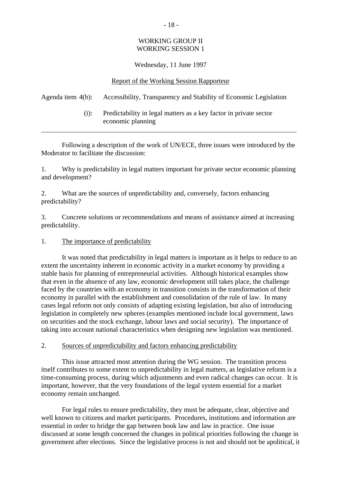## WORKING GROUP II WORKING SESSION 1

## Wednesday, 11 June 1997

### Report of the Working Session Rapporteur

## Agenda item 4(b): Accessibility, Transparency and Stability of Economic Legislation

 (i): Predictability in legal matters as a key factor in private sector economic planning

 Following a description of the work of UN/ECE, three issues were introduced by the Moderator to facilitate the discussion:

1. Why is predictability in legal matters important for private sector economic planning and development?

2. What are the sources of unpredictability and, conversely, factors enhancing predictability?

3. Concrete solutions or recommendations and means of assistance aimed at increasing predictability.

## 1. The importance of predictability

 It was noted that predictability in legal matters is important as it helps to reduce to an extent the uncertainty inherent in economic activity in a market economy by providing a stable basis for planning of entrepreneurial activities. Although historical examples show that even in the absence of any law, economic development still takes place, the challenge faced by the countries with an economy in transition consists in the transformation of their economy in parallel with the establishment and consolidation of the rule of law. In many cases legal reform not only consists of adapting existing legislation, but also of introducing legislation in completely new spheres (examples mentioned include local government, laws on securities and the stock exchange, labour laws and social security). The importance of taking into account national characteristics when designing new legislation was mentioned.

## 2. Sources of unpredictability and factors enhancing predictability

 This issue attracted most attention during the WG session. The transition process itself contributes to some extent to unpredictability in legal matters, as legislative reform is a time-consuming process, during which adjustments and even radical changes can occur. It is important, however, that the very foundations of the legal system essential for a market economy remain unchanged.

 For legal rules to ensure predictability, they must be adequate, clear, objective and well known to citizens and market participants. Procedures, institutions and information are essential in order to bridge the gap between book law and law in practice. One issue discussed at some length concerned the changes in political priorities following the change in government after elections. Since the legislative process is not and should not be apolitical, it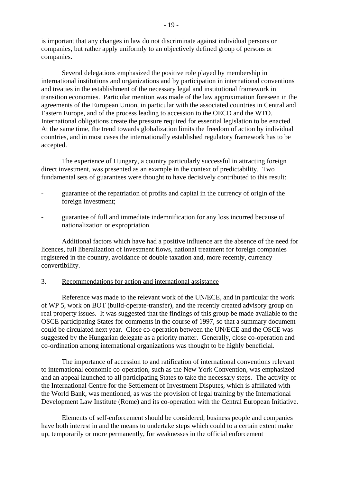is important that any changes in law do not discriminate against individual persons or companies, but rather apply uniformly to an objectively defined group of persons or companies.

 Several delegations emphasized the positive role played by membership in international institutions and organizations and by participation in international conventions and treaties in the establishment of the necessary legal and institutional framework in transition economies. Particular mention was made of the law approximation foreseen in the agreements of the European Union, in particular with the associated countries in Central and Eastern Europe, and of the process leading to accession to the OECD and the WTO. International obligations create the pressure required for essential legislation to be enacted. At the same time, the trend towards globalization limits the freedom of action by individual countries, and in most cases the internationally established regulatory framework has to be accepted.

 The experience of Hungary, a country particularly successful in attracting foreign direct investment, was presented as an example in the context of predictability. Two fundamental sets of guarantees were thought to have decisively contributed to this result:

- guarantee of the repatriation of profits and capital in the currency of origin of the foreign investment;
- guarantee of full and immediate indemnification for any loss incurred because of nationalization or expropriation.

 Additional factors which have had a positive influence are the absence of the need for licences, full liberalization of investment flows, national treatment for foreign companies registered in the country, avoidance of double taxation and, more recently, currency convertibility.

#### 3. Recommendations for action and international assistance

 Reference was made to the relevant work of the UN/ECE, and in particular the work of WP 5, work on BOT (build-operate-transfer), and the recently created advisory group on real property issues. It was suggested that the findings of this group be made available to the OSCE participating States for comments in the course of 1997, so that a summary document could be circulated next year. Close co-operation between the UN/ECE and the OSCE was suggested by the Hungarian delegate as a priority matter. Generally, close co-operation and co-ordination among international organizations was thought to be highly beneficial.

 The importance of accession to and ratification of international conventions relevant to international economic co-operation, such as the New York Convention, was emphasized and an appeal launched to all participating States to take the necessary steps. The activity of the International Centre for the Settlement of Investment Disputes, which is affiliated with the World Bank, was mentioned, as was the provision of legal training by the International Development Law Institute (Rome) and its co-operation with the Central European Initiative.

 Elements of self-enforcement should be considered; business people and companies have both interest in and the means to undertake steps which could to a certain extent make up, temporarily or more permanently, for weaknesses in the official enforcement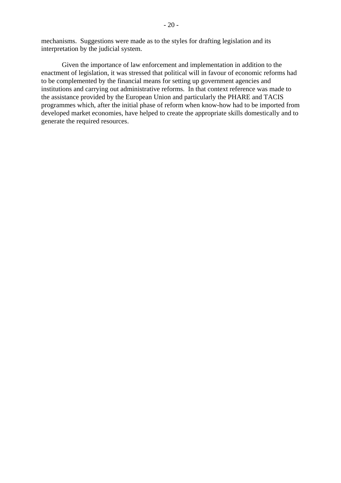Given the importance of law enforcement and implementation in addition to the enactment of legislation, it was stressed that political will in favour of economic reforms had to be complemented by the financial means for setting up government agencies and institutions and carrying out administrative reforms. In that context reference was made to the assistance provided by the European Union and particularly the PHARE and TACIS programmes which, after the initial phase of reform when know-how had to be imported from developed market economies, have helped to create the appropriate skills domestically and to generate the required resources.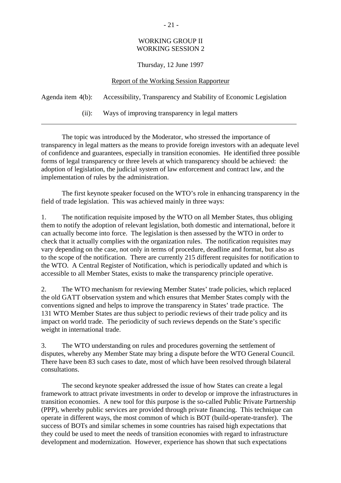## WORKING GROUP II WORKING SESSION 2

## Thursday, 12 June 1997

### Report of the Working Session Rapporteur

|          | Agenda item 4(b): Accessibility, Transparency and Stability of Economic Legislation |
|----------|-------------------------------------------------------------------------------------|
| $(11)$ : | Ways of improving transparency in legal matters                                     |

 The topic was introduced by the Moderator, who stressed the importance of transparency in legal matters as the means to provide foreign investors with an adequate level of confidence and guarantees, especially in transition economies. He identified three possible forms of legal transparency or three levels at which transparency should be achieved: the adoption of legislation, the judicial system of law enforcement and contract law, and the implementation of rules by the administration.

 The first keynote speaker focused on the WTO's role in enhancing transparency in the field of trade legislation. This was achieved mainly in three ways:

1. The notification requisite imposed by the WTO on all Member States, thus obliging them to notify the adoption of relevant legislation, both domestic and international, before it can actually become into force. The legislation is then assessed by the WTO in order to check that it actually complies with the organization rules. The notification requisites may vary depending on the case, not only in terms of procedure, deadline and format, but also as to the scope of the notification. There are currently 215 different requisites for notification to the WTO. A Central Register of Notification, which is periodically updated and which is accessible to all Member States, exists to make the transparency principle operative.

2. The WTO mechanism for reviewing Member States' trade policies, which replaced the old GATT observation system and which ensures that Member States comply with the conventions signed and helps to improve the transparency in States' trade practice. The 131 WTO Member States are thus subject to periodic reviews of their trade policy and its impact on world trade. The periodicity of such reviews depends on the State's specific weight in international trade.

3. The WTO understanding on rules and procedures governing the settlement of disputes, whereby any Member State may bring a dispute before the WTO General Council. There have been 83 such cases to date, most of which have been resolved through bilateral consultations.

 The second keynote speaker addressed the issue of how States can create a legal framework to attract private investments in order to develop or improve the infrastructures in transition economies. A new tool for this purpose is the so-called Public Private Partnership (PPP), whereby public services are provided through private financing. This technique can operate in different ways, the most common of which is BOT (build-operate-transfer). The success of BOTs and similar schemes in some countries has raised high expectations that they could be used to meet the needs of transition economies with regard to infrastructure development and modernization. However, experience has shown that such expectations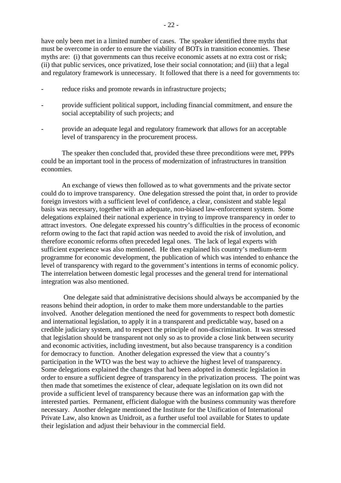have only been met in a limited number of cases. The speaker identified three myths that must be overcome in order to ensure the viability of BOTs in transition economies. These myths are: (i) that governments can thus receive economic assets at no extra cost or risk; (ii) that public services, once privatized, lose their social connotation; and (iii) that a legal and regulatory framework is unnecessary. It followed that there is a need for governments to:

- reduce risks and promote rewards in infrastructure projects;
- provide sufficient political support, including financial commitment, and ensure the social acceptability of such projects; and
- provide an adequate legal and regulatory framework that allows for an acceptable level of transparency in the procurement process.

 The speaker then concluded that, provided these three preconditions were met, PPPs could be an important tool in the process of modernization of infrastructures in transition economies.

 An exchange of views then followed as to what governments and the private sector could do to improve transparency. One delegation stressed the point that, in order to provide foreign investors with a sufficient level of confidence, a clear, consistent and stable legal basis was necessary, together with an adequate, non-biased law-enforcement system. Some delegations explained their national experience in trying to improve transparency in order to attract investors. One delegate expressed his country's difficulties in the process of economic reform owing to the fact that rapid action was needed to avoid the risk of involution, and therefore economic reforms often preceded legal ones. The lack of legal experts with sufficient experience was also mentioned. He then explained his country's medium-term programme for economic development, the publication of which was intended to enhance the level of transparency with regard to the government's intentions in terms of economic policy. The interrelation between domestic legal processes and the general trend for international integration was also mentioned.

 One delegate said that administrative decisions should always be accompanied by the reasons behind their adoption, in order to make them more understandable to the parties involved. Another delegation mentioned the need for governments to respect both domestic and international legislation, to apply it in a transparent and predictable way, based on a credible judiciary system, and to respect the principle of non-discrimination. It was stressed that legislation should be transparent not only so as to provide a close link between security and economic activities, including investment, but also because transparency is a condition for democracy to function. Another delegation expressed the view that a country's participation in the WTO was the best way to achieve the highest level of transparency. Some delegations explained the changes that had been adopted in domestic legislation in order to ensure a sufficient degree of transparency in the privatization process. The point was then made that sometimes the existence of clear, adequate legislation on its own did not provide a sufficient level of transparency because there was an information gap with the interested parties. Permanent, efficient dialogue with the business community was therefore necessary. Another delegate mentioned the Institute for the Unification of International Private Law, also known as Unidroit, as a further useful tool available for States to update their legislation and adjust their behaviour in the commercial field.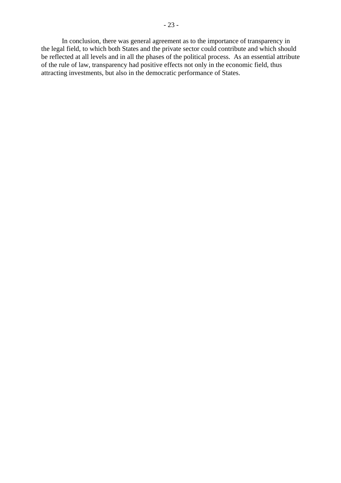In conclusion, there was general agreement as to the importance of transparency in the legal field, to which both States and the private sector could contribute and which should be reflected at all levels and in all the phases of the political process. As an essential attribute of the rule of law, transparency had positive effects not only in the economic field, thus attracting investments, but also in the democratic performance of States.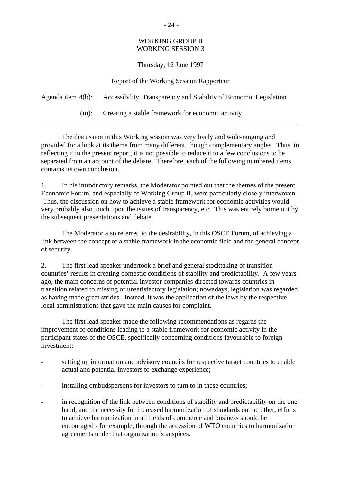## WORKING GROUP II WORKING SESSION 3

## Thursday, 12 June 1997

### Report of the Working Session Rapporteur

|        | Agenda item 4(b): Accessibility, Transparency and Stability of Economic Legislation |
|--------|-------------------------------------------------------------------------------------|
| (iii): | Creating a stable framework for economic activity                                   |

 The discussion in this Working session was very lively and wide-ranging and provided for a look at its theme from many different, though complementary angles. Thus, in reflecting it in the present report, it is not possible to reduce it to a few conclusions to be separated from an account of the debate. Therefore, each of the following numbered items contains its own conclusion.

1. In his introductory remarks, the Moderator pointed out that the themes of the present Economic Forum, and especially of Working Group II, were particularly closely interwoven. Thus, the discussion on how to achieve a stable framework for economic activities would very probably also touch upon the issues of transparency, etc. This was entirely borne out by the subsequent presentations and debate.

 The Moderator also referred to the desirability, in this OSCE Forum, of achieving a link between the concept of a stable framework in the economic field and the general concept of security.

2. The first lead speaker undertook a brief and general stocktaking of transition countries' results in creating domestic conditions of stability and predictability. A few years ago, the main concerns of potential investor companies directed towards countries in transition related to missing or unsatisfactory legislation; nowadays, legislation was regarded as having made great strides. Instead, it was the application of the laws by the respective local administrations that gave the main causes for complaint.

 The first lead speaker made the following recommendations as regards the improvement of conditions leading to a stable framework for economic activity in the participant states of the OSCE, specifically concerning conditions favourable to foreign investment:

- setting up information and advisory councils for respective target countries to enable actual and potential investors to exchange experience;
- installing ombudspersons for investors to turn to in these countries;
- in recognition of the link between conditions of stability and predictability on the one hand, and the necessity for increased harmonization of standards on the other, efforts to achieve harmonization in all fields of commerce and business should be encouraged - for example, through the accession of WTO countries to harmonization agreements under that organization's auspices.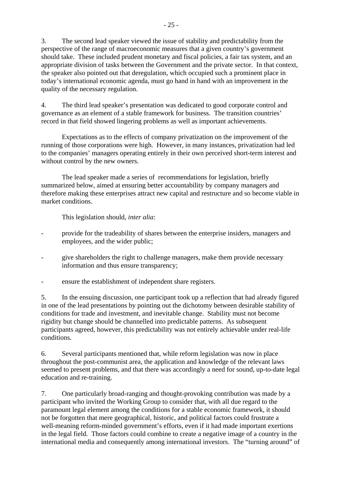3. The second lead speaker viewed the issue of stability and predictability from the perspective of the range of macroeconomic measures that a given country's government should take. These included prudent monetary and fiscal policies, a fair tax system, and an appropriate division of tasks between the Government and the private sector. In that context, the speaker also pointed out that deregulation, which occupied such a prominent place in today's international economic agenda, must go hand in hand with an improvement in the quality of the necessary regulation.

4. The third lead speaker's presentation was dedicated to good corporate control and governance as an element of a stable framework for business. The transition countries' record in that field showed lingering problems as well as important achievements.

 Expectations as to the effects of company privatization on the improvement of the running of those corporations were high. However, in many instances, privatization had led to the companies' managers operating entirely in their own perceived short-term interest and without control by the new owners.

 The lead speaker made a series of recommendations for legislation, briefly summarized below, aimed at ensuring better accountability by company managers and therefore making these enterprises attract new capital and restructure and so become viable in market conditions.

This legislation should, *inter alia*:

- provide for the tradeability of shares between the enterprise insiders, managers and employees, and the wider public;
- give shareholders the right to challenge managers, make them provide necessary information and thus ensure transparency;
- ensure the establishment of independent share registers.

5. In the ensuing discussion, one participant took up a reflection that had already figured in one of the lead presentations by pointing out the dichotomy between desirable stability of conditions for trade and investment, and inevitable change. Stability must not become rigidity but change should be channelled into predictable patterns. As subsequent participants agreed, however, this predictability was not entirely achievable under real-life conditions.

6. Several participants mentioned that, while reform legislation was now in place throughout the post-communist area, the application and knowledge of the relevant laws seemed to present problems, and that there was accordingly a need for sound, up-to-date legal education and re-training.

7. One particularly broad-ranging and thought-provoking contribution was made by a participant who invited the Working Group to consider that, with all due regard to the paramount legal element among the conditions for a stable economic framework, it should not be forgotten that mere geographical, historic, and political factors could frustrate a well-meaning reform-minded government's efforts, even if it had made important exertions in the legal field. Those factors could combine to create a negative image of a country in the international media and consequently among international investors. The "turning around" of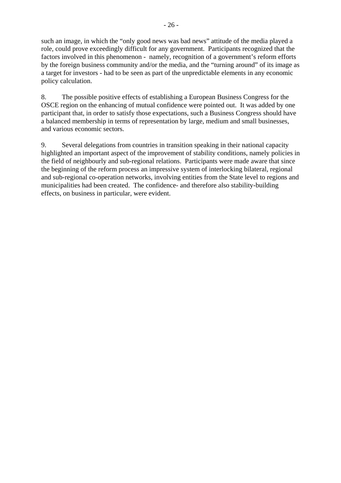such an image, in which the "only good news was bad news" attitude of the media played a role, could prove exceedingly difficult for any government. Participants recognized that the factors involved in this phenomenon - namely, recognition of a government's reform efforts by the foreign business community and/or the media, and the "turning around" of its image as a target for investors - had to be seen as part of the unpredictable elements in any economic policy calculation.

8. The possible positive effects of establishing a European Business Congress for the OSCE region on the enhancing of mutual confidence were pointed out. It was added by one participant that, in order to satisfy those expectations, such a Business Congress should have a balanced membership in terms of representation by large, medium and small businesses, and various economic sectors.

9. Several delegations from countries in transition speaking in their national capacity highlighted an important aspect of the improvement of stability conditions, namely policies in the field of neighbourly and sub-regional relations. Participants were made aware that since the beginning of the reform process an impressive system of interlocking bilateral, regional and sub-regional co-operation networks, involving entities from the State level to regions and municipalities had been created. The confidence- and therefore also stability-building effects, on business in particular, were evident.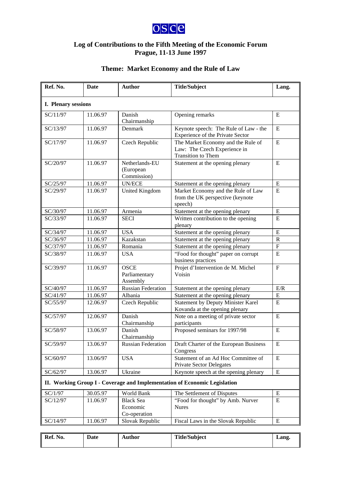

## **Log of Contributions to the Fifth Meeting of the Economic Forum Prague, 11-13 June 1997**

# **Theme: Market Economy and the Rule of Law**

| Ref. No.            | Date     | <b>Author</b>                                | <b>Title/Subject</b>                                                                            | Lang.          |
|---------------------|----------|----------------------------------------------|-------------------------------------------------------------------------------------------------|----------------|
| I. Plenary sessions |          |                                              |                                                                                                 |                |
| SC/11/97            | 11.06.97 | Danish<br>Chairmanship                       | Opening remarks                                                                                 | E              |
| SC/13/97            | 11.06.97 | Denmark                                      | Keynote speech: The Rule of Law - the<br>Experience of the Private Sector                       | E              |
| SC/17/97            | 11.06.97 | Czech Republic                               | The Market Economy and the Rule of<br>Law: The Czech Experience in<br><b>Transition</b> to Them | E              |
| SC/20/97            | 11.06.97 | Netherlands-EU<br>(European<br>Commission)   | Statement at the opening plenary                                                                | E              |
| SC/25/97            | 11.06.97 | <b>UN/ECE</b>                                | Statement at the opening plenary                                                                | ${\bf E}$      |
| SC/29/97            | 11.06.97 | <b>United Kingdom</b>                        | Market Economy and the Rule of Law<br>from the UK perspective (keynote<br>speech)               | ${\bf E}$      |
| SC/30/97            | 11.06.97 | Armenia                                      | Statement at the opening plenary                                                                | E              |
| SC/33/97            | 11.06.97 | <b>SECI</b>                                  | Written contribution to the opening<br>plenary                                                  | E              |
| SC/34/97            | 11.06.97 | <b>USA</b>                                   | Statement at the opening plenary                                                                | ${\bf E}$      |
| SC/36/97            | 11.06.97 | Kazakstan                                    | Statement at the opening plenary                                                                | $\mathbf R$    |
| SC/37/97            | 11.06.97 | Romania                                      | Statement at the opening plenary                                                                | $\overline{F}$ |
| SC/38/97            | 11.06.97 | <b>USA</b>                                   | "Food for thought" paper on corrupt<br>business practices                                       | E              |
| SC/39/97            | 11.06.97 | <b>OSCE</b><br>Parliamentary<br>Assembly     | Projet d'Intervention de M. Michel<br>Voisin                                                    | $\mathbf{F}$   |
| SC/40/97            | 11.06.97 | <b>Russian Federation</b>                    | Statement at the opening plenary                                                                | E/R            |
| SC/41/97            | 11.06.97 | Albania                                      | Statement at the opening plenary                                                                | E              |
| SC/55/97            | 12.06.97 | Czech Republic                               | <b>Statement by Deputy Minister Karel</b><br>Kovanda at the opening plenary                     | E              |
| SC/57/97            | 12.06.97 | Danish<br>Chairmanship                       | Note on a meeting of private sector<br>participants                                             | ${\bf E}$      |
| SC/58/97            | 13.06.97 | Danish<br>Chairmanship                       | Proposed seminars for 1997/98                                                                   | ${\bf E}$      |
| SC/59/97            | 13.06.97 | <b>Russian Federation</b>                    | Draft Charter of the European Business<br>Congress                                              | E              |
| SC/60/97            | 13.06/97 | <b>USA</b>                                   | Statement of an Ad Hoc Committee of<br><b>Private Sector Delegates</b>                          | ${\bf E}$      |
| SC/62/97            | 13.06.97 | Ukraine                                      | Keynote speech at the opening plenary                                                           | ${\bf E}$      |
|                     |          |                                              | II. Working Group I - Coverage and Implementation of Economic Legislation                       |                |
| SC/1/97             | 30.05.97 | World Bank                                   | The Settlement of Disputes                                                                      | Ε              |
| SC/12/97            | 11.06.97 | <b>Black Sea</b><br>Economic<br>Co-operation | "Food for thought" by Amb. Nurver<br><b>Nures</b>                                               | ${\bf E}$      |
| SC/14/97            | 11.06.97 | Slovak Republic                              | Fiscal Laws in the Slovak Republic                                                              | E              |

| Ref. No. | Date | Author | <b>Title/Subject</b> | Lang. |
|----------|------|--------|----------------------|-------|
|          |      |        |                      |       |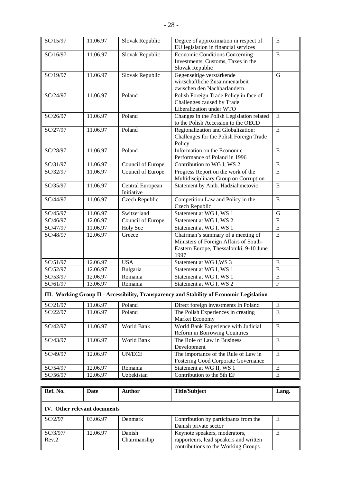| SC/15/97 | 11.06.97 | Slovak Republic   | Degree of approximation in respect of<br>EU legislation in financial services             | E              |
|----------|----------|-------------------|-------------------------------------------------------------------------------------------|----------------|
| SC/16/97 | 11.06.97 | Slovak Republic   | <b>Economic Conditions Concerning</b>                                                     | E              |
|          |          |                   | Investments, Customs, Taxes in the                                                        |                |
|          |          |                   | Slovak Republic                                                                           |                |
| SC/19/97 | 11.06.97 | Slovak Republic   | Gegenseitige verstärkende                                                                 | G              |
|          |          |                   | wirtschaftliche Zusammenarbeit                                                            |                |
|          |          |                   | zwischen den Nachbarländern                                                               |                |
| SC/24/97 | 11.06.97 | Poland            | Polish Foreign Trade Policy in face of                                                    |                |
|          |          |                   | Challenges caused by Trade                                                                |                |
|          |          |                   | Liberalization under WTO                                                                  |                |
| SC/26/97 | 11.06.97 | Poland            | Changes in the Polish Legislation related                                                 | E              |
|          |          |                   | to the Polish Accession to the OECD                                                       |                |
| SC/27/97 | 11.06.97 | Poland            | Regionalization and Globalization:                                                        | E              |
|          |          |                   | Challenges for the Polish Foreign Trade                                                   |                |
|          |          |                   | Policy                                                                                    |                |
| SC/28/97 | 11.06.97 | Poland            | Information on the Economic                                                               | E              |
|          |          |                   | Performance of Poland in 1996                                                             |                |
| SC/31/97 | 11.06.97 | Council of Europe | Contribution to WG I, WS 2                                                                | ${\bf E}$      |
| SC/32/97 | 11.06.97 | Council of Europe | Progress Report on the work of the                                                        | E              |
|          |          |                   | Multidisciplinary Group on Corruption                                                     |                |
| SC/35/97 | 11.06.97 | Central European  | Statement by Amb. Hadziahmetovic                                                          | E              |
|          |          | Initiative        |                                                                                           |                |
| SC/44/97 | 11.06.97 | Czech Republic    | Competition Law and Policy in the                                                         | E              |
|          |          |                   | Czech Republic                                                                            |                |
| SC/45/97 | 11.06.97 | Switzerland       | Statement at WG I, WS 1                                                                   | $\mathbf G$    |
| SC/46/97 | 12.06.97 | Council of Europe | Statement at WG I, WS 2                                                                   | $\overline{F}$ |
| SC/47/97 | 11.06.97 | <b>Holy See</b>   | Statement at WG I, WS 1                                                                   | E              |
| SC/48/97 | 12.06.97 | Greece            | Chairman's summary of a meeting of                                                        | E              |
|          |          |                   | Ministers of Foreign Affairs of South-                                                    |                |
|          |          |                   | Eastern Europe, Thessaloniki, 9-10 June                                                   |                |
|          |          |                   | 1997                                                                                      |                |
| SC/51/97 | 12.06.97 | <b>USA</b>        | Statement at WG I, WS 3                                                                   | E              |
| SC/52/97 | 12.06.97 | Bulgaria          | Statement at WG I, WS 1                                                                   | ${\bf E}$      |
| SC/53/97 | 12.06.97 | Romania           | Statement at WG I, WS 1                                                                   | ${\bf E}$      |
| SC/61/97 | 13.06.97 | Romania           | Statement at WG I, WS 2                                                                   | $\mathbf F$    |
|          |          |                   | III. Working Group II - Accessibility, Transparency and Stability of Economic Legislation |                |
| SC/21/97 | 11.06.97 | Poland            | Direct foreign investments In Poland                                                      | E              |
| SC/22/97 | 11.06.97 | Poland            | The Polish Experiences in creating                                                        | E              |
|          |          |                   | Market Economy                                                                            |                |
| SC/42/97 | 11.06.97 | World Bank        | World Bank Experience with Judicial                                                       | ${\bf E}$      |
|          |          |                   | Reform in Borrowing Countries                                                             |                |
| SC/43/97 | 11.06.97 | World Bank        | The Role of Law in Business                                                               | E              |
|          |          |                   | Development                                                                               |                |
| SC/49/97 | 12.06.97 | <b>UN/ECE</b>     | The importance of the Rule of Law in                                                      | $\mathbf E$    |
|          |          |                   | Fostering Good Corporate Governance                                                       |                |
| SC/54/97 | 12.06.97 | Romania           | Statement at WG II, WS 1                                                                  | E              |
| SC/56/97 | 12.06.97 | Uzbekistan        | Contribution to the 5th EF                                                                | ${\bf E}$      |
|          |          |                   |                                                                                           |                |

| Ref. No.                            | Date     | <b>Author</b> | <b>Title/Subject</b>                   | Lang. |
|-------------------------------------|----------|---------------|----------------------------------------|-------|
| <b>IV.</b> Other relevant documents |          |               |                                        |       |
| SC/2/97                             | 03.06.97 | Denmark       | Contribution by participants from the  | Ε     |
|                                     |          |               | Danish private sector                  |       |
| SC/3/97/                            | 12.06.97 | Danish        | Keynote speakers, moderators,          | Ε     |
| Rev.2                               |          | Chairmanship  | rapporteurs, lead speakers and written |       |
|                                     |          |               | contributions to the Working Groups    |       |